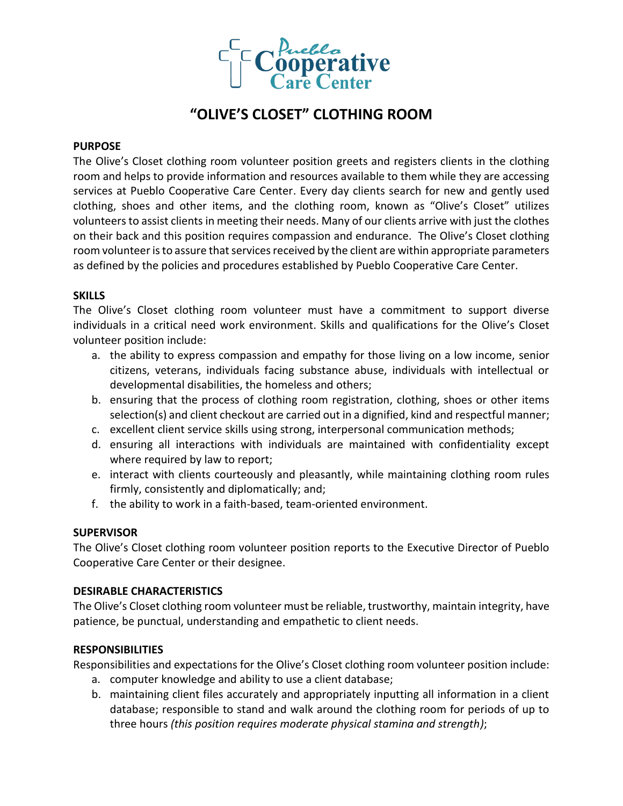

# **"OLIVE'S CLOSET" CLOTHING ROOM**

#### **PURPOSE**

The Olive's Closet clothing room volunteer position greets and registers clients in the clothing room and helps to provide information and resources available to them while they are accessing services at Pueblo Cooperative Care Center. Every day clients search for new and gently used clothing, shoes and other items, and the clothing room, known as "Olive's Closet" utilizes volunteers to assist clients in meeting their needs. Many of our clients arrive with just the clothes on their back and this position requires compassion and endurance. The Olive's Closet clothing room volunteer is to assure that services received by the client are within appropriate parameters as defined by the policies and procedures established by Pueblo Cooperative Care Center.

#### **SKILLS**

The Olive's Closet clothing room volunteer must have a commitment to support diverse individuals in a critical need work environment. Skills and qualifications for the Olive's Closet volunteer position include:

- a. the ability to express compassion and empathy for those living on a low income, senior citizens, veterans, individuals facing substance abuse, individuals with intellectual or developmental disabilities, the homeless and others;
- b. ensuring that the process of clothing room registration, clothing, shoes or other items selection(s) and client checkout are carried out in a dignified, kind and respectful manner;
- c. excellent client service skills using strong, interpersonal communication methods;
- d. ensuring all interactions with individuals are maintained with confidentiality except where required by law to report;
- e. interact with clients courteously and pleasantly, while maintaining clothing room rules firmly, consistently and diplomatically; and;
- f. the ability to work in a faith-based, team-oriented environment.

### **SUPERVISOR**

The Olive's Closet clothing room volunteer position reports to the Executive Director of Pueblo Cooperative Care Center or their designee.

### **DESIRABLE CHARACTERISTICS**

The Olive's Closet clothing room volunteer must be reliable, trustworthy, maintain integrity, have patience, be punctual, understanding and empathetic to client needs.

### **RESPONSIBILITIES**

Responsibilities and expectations for the Olive's Closet clothing room volunteer position include:

- a. computer knowledge and ability to use a client database;
- b. maintaining client files accurately and appropriately inputting all information in a client database; responsible to stand and walk around the clothing room for periods of up to three hours *(this position requires moderate physical stamina and strength)*;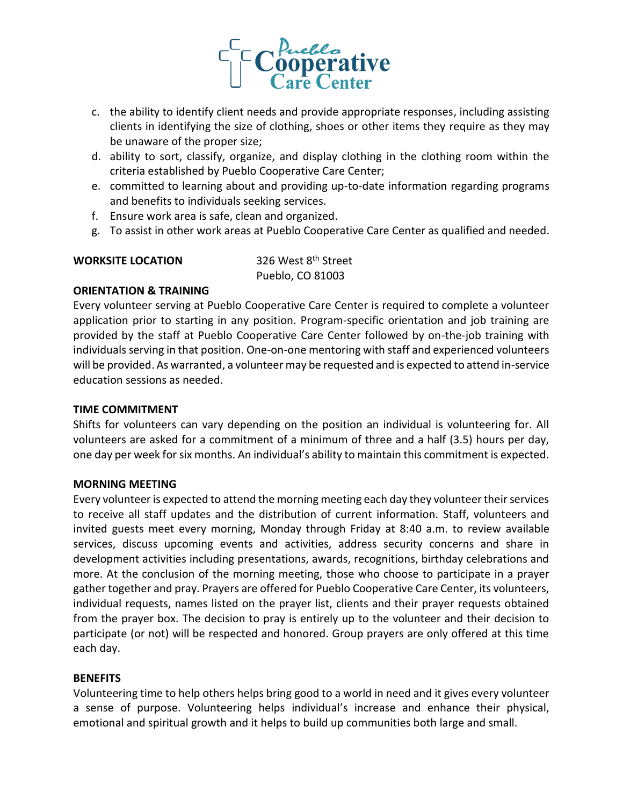

- c. the ability to identify client needs and provide appropriate responses, including assisting clients in identifying the size of clothing, shoes or other items they require as they may be unaware of the proper size;
- d. ability to sort, classify, organize, and display clothing in the clothing room within the criteria established by Pueblo Cooperative Care Center;
- e. committed to learning about and providing up-to-date information regarding programs and benefits to individuals seeking services.
- f. Ensure work area is safe, clean and organized.
- g. To assist in other work areas at Pueblo Cooperative Care Center as qualified and needed.

### **WORKSITE LOCATION** 326 West 8<sup>th</sup> Street

Pueblo, CO 81003

# **ORIENTATION & TRAINING**

Every volunteer serving at Pueblo Cooperative Care Center is required to complete a volunteer application prior to starting in any position. Program-specific orientation and job training are provided by the staff at Pueblo Cooperative Care Center followed by on-the-job training with individuals serving in that position. One-on-one mentoring with staff and experienced volunteers will be provided. As warranted, a volunteer may be requested and is expected to attend in-service education sessions as needed.

### **TIME COMMITMENT**

Shifts for volunteers can vary depending on the position an individual is volunteering for. All volunteers are asked for a commitment of a minimum of three and a half (3.5) hours per day, one day per week for six months. An individual's ability to maintain this commitment is expected.

### **MORNING MEETING**

Every volunteer is expected to attend the morning meeting each day they volunteer their services to receive all staff updates and the distribution of current information. Staff, volunteers and invited guests meet every morning, Monday through Friday at 8:40 a.m. to review available services, discuss upcoming events and activities, address security concerns and share in development activities including presentations, awards, recognitions, birthday celebrations and more. At the conclusion of the morning meeting, those who choose to participate in a prayer gather together and pray. Prayers are offered for Pueblo Cooperative Care Center, its volunteers, individual requests, names listed on the prayer list, clients and their prayer requests obtained from the prayer box. The decision to pray is entirely up to the volunteer and their decision to participate (or not) will be respected and honored. Group prayers are only offered at this time each day.

### **BENEFITS**

Volunteering time to help others helps bring good to a world in need and it gives every volunteer a sense of purpose. Volunteering helps individual's increase and enhance their physical, emotional and spiritual growth and it helps to build up communities both large and small.